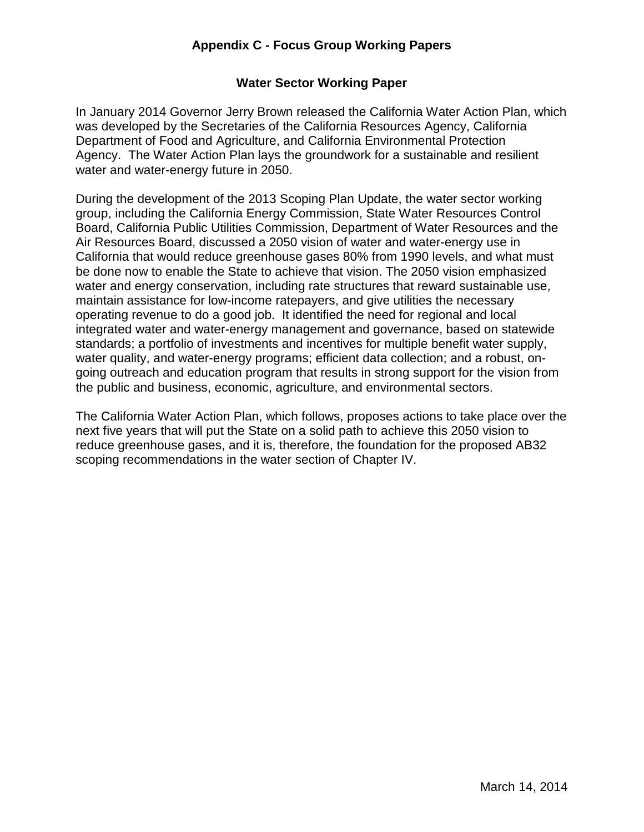# **Appendix C - Focus Group Working Papers**

#### **Water Sector Working Paper**

 Agency. The Water Action Plan lays the groundwork for a sustainable and resilient In January 2014 Governor Jerry Brown released the California Water Action Plan, which was developed by the Secretaries of the California Resources Agency, California Department of Food and Agriculture, and California Environmental Protection water and water-energy future in 2050.

 Board, California Public Utilities Commission, Department of Water Resources and the Air Resources Board, discussed a 2050 vision of water and water-energy use in California that would reduce greenhouse gases 80% from 1990 levels, and what must operating revenue to do a good job. It identified the need for regional and local During the development of the 2013 Scoping Plan Update, the water sector working group, including the California Energy Commission, State Water Resources Control be done now to enable the State to achieve that vision. The 2050 vision emphasized water and energy conservation, including rate structures that reward sustainable use, maintain assistance for low-income ratepayers, and give utilities the necessary integrated water and water-energy management and governance, based on statewide standards; a portfolio of investments and incentives for multiple benefit water supply, water quality, and water-energy programs; efficient data collection; and a robust, ongoing outreach and education program that results in strong support for the vision from the public and business, economic, agriculture, and environmental sectors.

 reduce greenhouse gases, and it is, therefore, the foundation for the proposed AB32 The California Water Action Plan, which follows, proposes actions to take place over the next five years that will put the State on a solid path to achieve this 2050 vision to scoping recommendations in the water section of Chapter IV.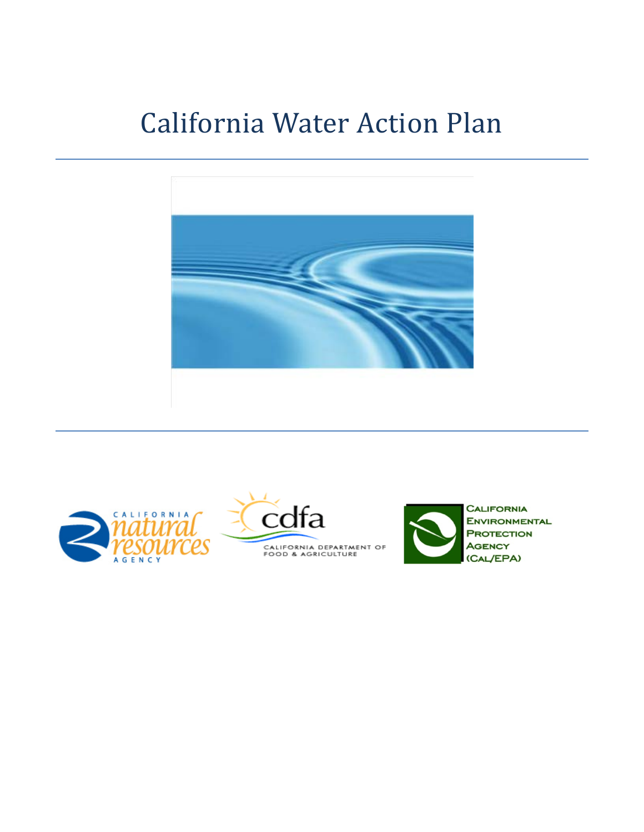# California Water Action Plan







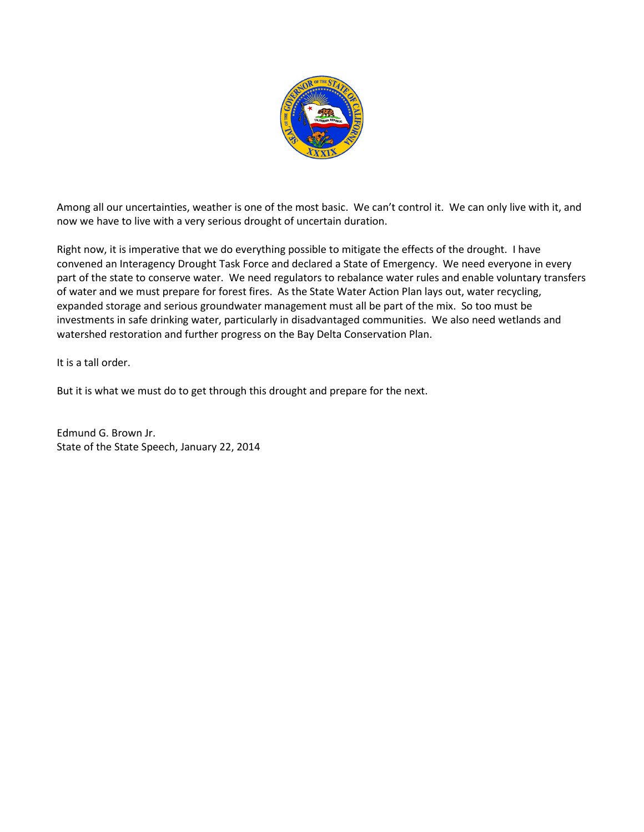

 Among all our uncertainties, weather is one of the most basic. We can't control it. We can only live with it, and now we have to live with a very serious drought of uncertain duration.

 convened an Interagency Drought Task Force and declared a State of Emergency. We need everyone in every of water and we must prepare for forest fires. As the State Water Action Plan lays out, water recycling, expanded storage and serious groundwater management must all be part of the mix. So too must be Right now, it is imperative that we do everything possible to mitigate the effects of the drought. I have part of the state to conserve water. We need regulators to rebalance water rules and enable voluntary transfers investments in safe drinking water, particularly in disadvantaged communities. We also need wetlands and watershed restoration and further progress on the Bay Delta Conservation Plan.

It is a tall order.

But it is what we must do to get through this drought and prepare for the next.

Edmund G. Brown Jr. State of the State Speech, January 22, 2014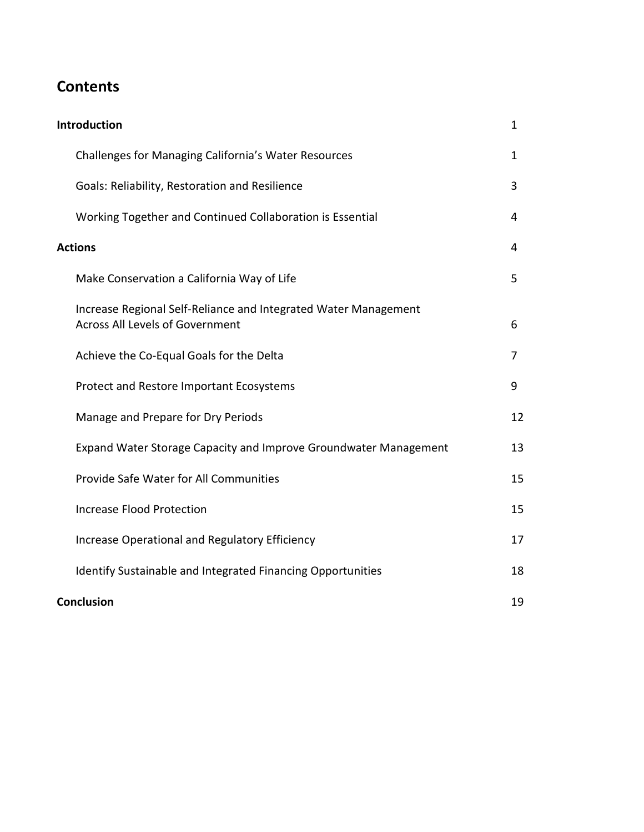# **Contents**

| <b>Introduction</b> |                                                                                                           | $\mathbf{1}$ |
|---------------------|-----------------------------------------------------------------------------------------------------------|--------------|
|                     | Challenges for Managing California's Water Resources                                                      | 1            |
|                     | Goals: Reliability, Restoration and Resilience                                                            | 3            |
|                     | Working Together and Continued Collaboration is Essential                                                 | 4            |
| <b>Actions</b>      |                                                                                                           | 4            |
|                     | Make Conservation a California Way of Life                                                                | 5            |
|                     | Increase Regional Self-Reliance and Integrated Water Management<br><b>Across All Levels of Government</b> | 6            |
|                     | Achieve the Co-Equal Goals for the Delta                                                                  | 7            |
|                     | Protect and Restore Important Ecosystems                                                                  | 9            |
|                     | Manage and Prepare for Dry Periods                                                                        | 12           |
|                     | Expand Water Storage Capacity and Improve Groundwater Management                                          | 13           |
|                     | Provide Safe Water for All Communities                                                                    | 15           |
|                     | <b>Increase Flood Protection</b>                                                                          | 15           |
|                     | Increase Operational and Regulatory Efficiency                                                            | 17           |
|                     | Identify Sustainable and Integrated Financing Opportunities                                               | 18           |
|                     | <b>Conclusion</b>                                                                                         |              |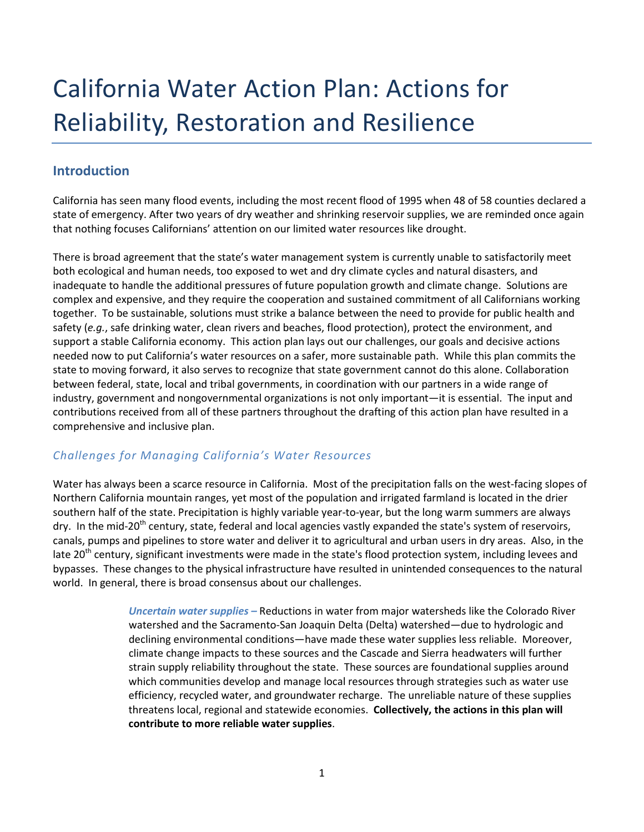# <span id="page-4-0"></span>California Water Action Plan: Actions for Reliability, Restoration and Resilience

# **Introduction**

 California has seen many flood events, including the most recent flood of 1995 when 48 of 58 counties declared a state of emergency. After two years of dry weather and shrinking reservoir supplies, we are reminded once again that nothing focuses Californians' attention on our limited water resources like drought.

 There is broad agreement that the state's water management system is currently unable to satisfactorily meet both ecological and human needs, too exposed to wet and dry climate cycles and natural disasters, and together. To be sustainable, solutions must strike a balance between the need to provide for public health and support a stable California economy. This action plan lays out our challenges, our goals and decisive actions needed now to put California's water resources on a safer, more sustainable path. While this plan commits the between federal, state, local and tribal governments, in coordination with our partners in a wide range of industry, government and nongovernmental organizations is not only important—it is essential. The input and inadequate to handle the additional pressures of future population growth and climate change. Solutions are complex and expensive, and they require the cooperation and sustained commitment of all Californians working safety (*e.g.*, safe drinking water, clean rivers and beaches, flood protection), protect the environment, and state to moving forward, it also serves to recognize that state government cannot do this alone. Collaboration contributions received from all of these partners throughout the drafting of this action plan have resulted in a comprehensive and inclusive plan.

# *Challenges for Managing California's Water Resources*

 Water has always been a scarce resource in California. Most of the precipitation falls on the west-facing slopes of Northern California mountain ranges, yet most of the population and irrigated farmland is located in the drier canals, pumps and pipelines to store water and deliver it to agricultural and urban users in dry areas. Also, in the bypasses. These changes to the physical infrastructure have resulted in unintended consequences to the natural world. In general, there is broad consensus about our challenges. southern half of the state. Precipitation is highly variable year-to-year, but the long warm summers are always dry. In the mid-20<sup>th</sup> century, state, federal and local agencies vastly expanded the state's system of reservoirs, late 20<sup>th</sup> century, significant investments were made in the state's flood protection system, including levees and

> Uncertain water supplies - Reductions in water from major watersheds like the Colorado River declining environmental conditions—have made these water supplies less reliable. Moreover, efficiency, recycled water, and groundwater recharge. The unreliable nature of these supplies threatens local, regional and statewide economies. **Collectively, the actions in this plan will**  watershed and the Sacramento-San Joaquin Delta (Delta) watershed—due to hydrologic and climate change impacts to these sources and the Cascade and Sierra headwaters will further strain supply reliability throughout the state. These sources are foundational supplies around which communities develop and manage local resources through strategies such as water use **contribute to more reliable water supplies**.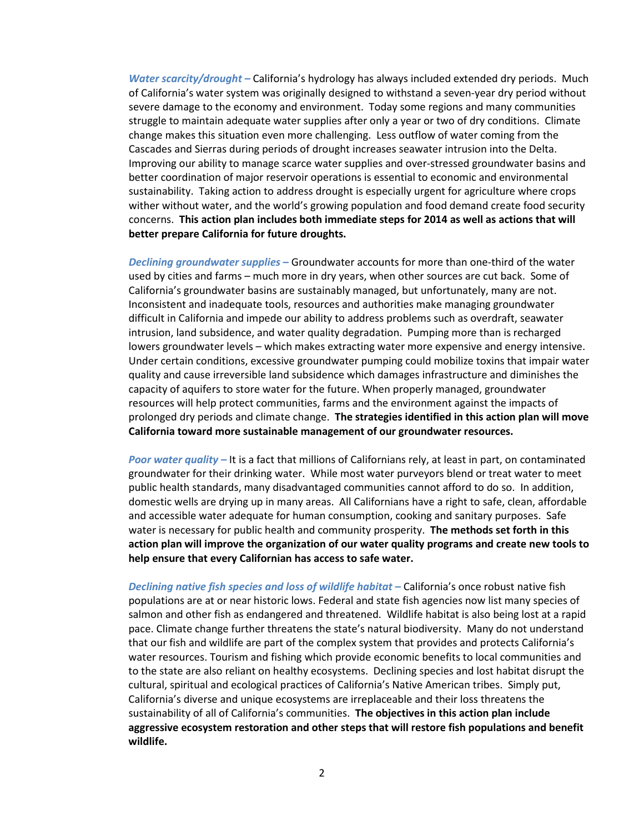*Water scarcity/drought –* California's hydrology has always included extended dry periods. Much severe damage to the economy and environment. Today some regions and many communities change makes this situation even more challenging. Less outflow of water coming from the Cascades and Sierras during periods of drought increases seawater intrusion into the Delta.<br>Improving our ability to manage scarce water supplies and over-stressed groundwater basins and sustainability. Taking action to address drought is especially urgent for agriculture where crops wither without water, and the world's growing population and food demand create food security concerns. **This action plan includes both immediate steps for 2014 as well as actions that will**  of California's water system was originally designed to withstand a seven-year dry period without struggle to maintain adequate water supplies after only a year or two of dry conditions. Climate better coordination of major reservoir operations is essential to economic and environmental **better prepare California for future droughts.** 

 *Declining groundwater supplies* **–** Groundwater accounts for more than one-third of the water difficult in California and impede our ability to address problems such as overdraft, seawater intrusion, land subsidence, and water quality degradation. Pumping more than is recharged lowers groundwater levels – which makes extracting water more expensive and energy intensive. Under certain conditions, excessive groundwater pumping could mobilize toxins that impair water quality and cause irreversible land subsidence which damages infrastructure and diminishes the  **California toward more sustainable management of our groundwater resources.**  used by cities and farms – much more in dry years, when other sources are cut back. Some of California's groundwater basins are sustainably managed, but unfortunately, many are not. Inconsistent and inadequate tools, resources and authorities make managing groundwater capacity of aquifers to store water for the future. When properly managed, groundwater resources will help protect communities, farms and the environment against the impacts of prolonged dry periods and climate change. **The strategies identified in this action plan will move** 

 public health standards, many disadvantaged communities cannot afford to do so. In addition, domestic wells are drying up in many areas. All Californians have a right to safe, clean, affordable *Poor water quality –* It is a fact that millions of Californians rely, at least in part, on contaminated groundwater for their drinking water. While most water purveyors blend or treat water to meet and accessible water adequate for human consumption, cooking and sanitary purposes. Safe water is necessary for public health and community prosperity. **The methods set forth in this action plan will improve the organization of our water quality programs and create new tools to help ensure that every Californian has access to safe water.** 

 *Declining native fish species and loss of wildlife habitat –* California's once robust native fish salmon and other fish as endangered and threatened. Wildlife habitat is also being lost at a rapid pace. Climate change further threatens the state's natural biodiversity. Many do not understand sustainability of all of California's communities. **The objectives in this action plan include**  populations are at or near historic lows. Federal and state fish agencies now list many species of that our fish and wildlife are part of the complex system that provides and protects California's water resources. Tourism and fishing which provide economic benefits to local communities and to the state are also reliant on healthy ecosystems. Declining species and lost habitat disrupt the cultural, spiritual and ecological practices of California's Native American tribes. Simply put, California's diverse and unique ecosystems are irreplaceable and their loss threatens the **aggressive ecosystem restoration and other steps that will restore fish populations and benefit wildlife.**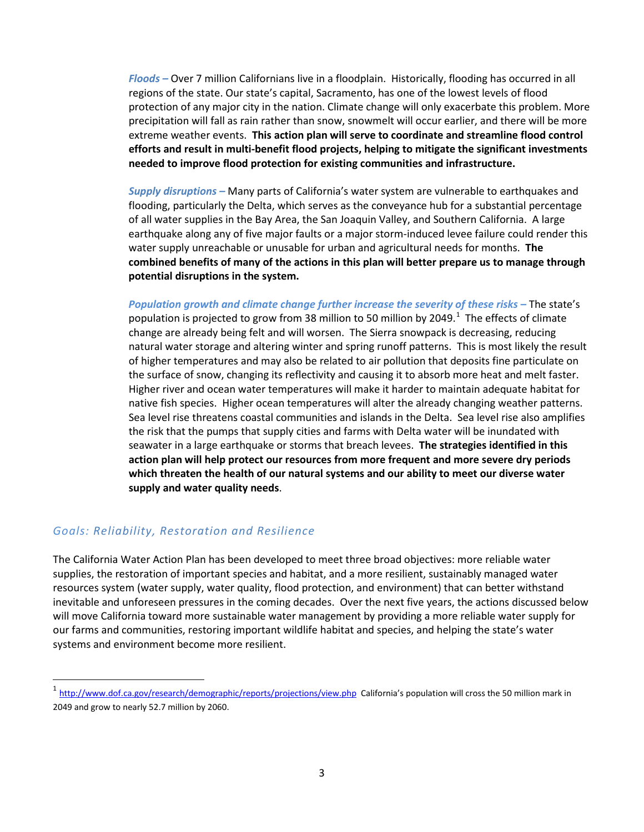<span id="page-6-0"></span> *Floods –* Over 7 million Californians live in a floodplain. Historically, flooding has occurred in all regions of the state. Our state's capital, Sacramento, has one of the lowest levels of flood protection of any major city in the nation. Climate change will only exacerbate this problem. More precipitation will fall as rain rather than snow, snowmelt will occur earlier, and there will be more extreme weather events. **This action plan will serve to coordinate and streamline flood control efforts and result in multi-benefit flood projects, helping to mitigate the significant investments needed to improve flood protection for existing communities and infrastructure.** 

 *Supply disruptions –* Many parts of California's water system are vulnerable to earthquakes and flooding, particularly the Delta, which serves as the conveyance hub for a substantial percentage of all water supplies in the Bay Area, the San Joaquin Valley, and Southern California. A large water supply unreachable or unusable for urban and agricultural needs for months. **The**  earthquake along any of five major faults or a major storm-induced levee failure could render this **combined benefits of many of the actions in this plan will better prepare us to manage through potential disruptions in the system.** 

Population growth and climate change further increase the severity of these risks – The state's population is projected to grow from 38 million to 50 million by 2049.<sup>[1](#page-6-1)</sup> The effects of climate change are already being felt and will worsen. The Sierra snowpack is decreasing, reducing of higher temperatures and may also be related to air pollution that deposits fine particulate on Higher river and ocean water temperatures will make it harder to maintain adequate habitat for native fish species. Higher ocean temperatures will alter the already changing weather patterns. Sea level rise threatens coastal communities and islands in the Delta. Sea level rise also amplifies seawater in a large earthquake or storms that breach levees. **The strategies identified in this which threaten the health of our natural systems and our ability to meet our diverse water supply and water quality needs**. natural water storage and altering winter and spring runoff patterns. This is most likely the result the surface of snow, changing its reflectivity and causing it to absorb more heat and melt faster. the risk that the pumps that supply cities and farms with Delta water will be inundated with **action plan will help protect our resources from more frequent and more severe dry periods** 

#### *Goals: Reliability, Restoration and Resilience*

 $\overline{a}$ 

 The California Water Action Plan has been developed to meet three broad objectives: more reliable water resources system (water supply, water quality, flood protection, and environment) that can better withstand inevitable and unforeseen pressures in the coming decades. Over the next five years, the actions discussed below will move California toward more sustainable water management by providing a more reliable water supply for systems and environment become more resilient. systems and environment become more resilient.<br>1<http://www.dof.ca.gov/research/demographic/reports/projections/view.php>California's population will cross the 50 million mark in supplies, the restoration of important species and habitat, and a more resilient, sustainably managed water our farms and communities, restoring important wildlife habitat and species, and helping the state's water

<span id="page-6-1"></span><sup>2049</sup> and grow to nearly 52.7 million by 2060.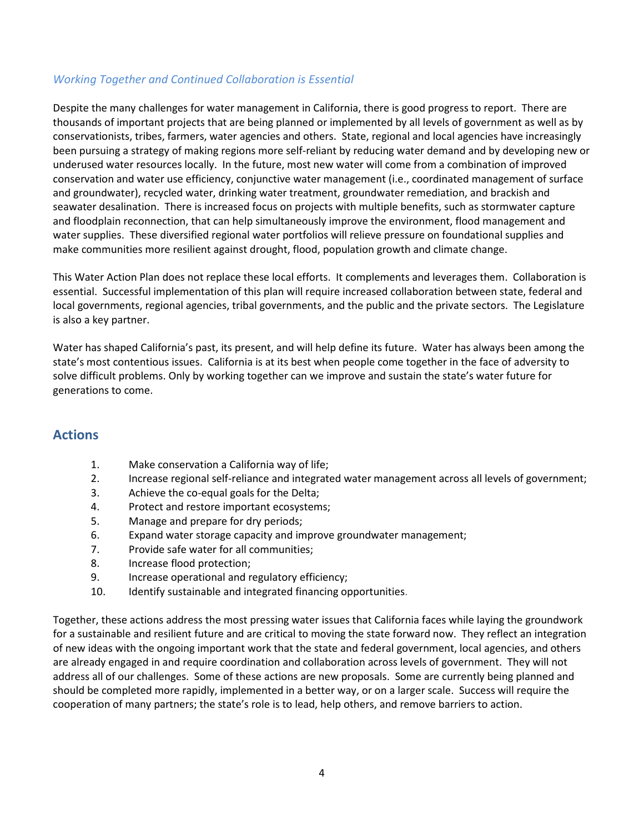#### <span id="page-7-0"></span> *Working Together and Continued Collaboration is Essential*

 Despite the many challenges for water management in California, there is good progress to report. There are seawater desalination. There is increased focus on projects with multiple benefits, such as stormwater capture water supplies. These diversified regional water portfolios will relieve pressure on foundational supplies and make communities more resilient against drought, flood, population growth and climate change. thousands of important projects that are being planned or implemented by all levels of government as well as by conservationists, tribes, farmers, water agencies and others. State, regional and local agencies have increasingly been pursuing a strategy of making regions more self-reliant by reducing water demand and by developing new or underused water resources locally. In the future, most new water will come from a combination of improved conservation and water use efficiency, conjunctive water management (i.e., coordinated management of surface and groundwater), recycled water, drinking water treatment, groundwater remediation, and brackish and and floodplain reconnection, that can help simultaneously improve the environment, flood management and

 This Water Action Plan does not replace these local efforts. It complements and leverages them. Collaboration is essential. Successful implementation of this plan will require increased collaboration between state, federal and is also a key partner. local governments, regional agencies, tribal governments, and the public and the private sectors. The Legislature

is also a key partner.<br>Water has shaped California's past, its present, and will help define its future. Water has always been among the state's most contentious issues. California is at its best when people come together in the face of adversity to solve difficult problems. Only by working together can we improve and sustain the state's water future for generations to come.

### **Actions**

- 1. Make conservation a California way of life;
- 2. Increase regional self-reliance and integrated water management across all levels of government;
- 3. Achieve the co-equal goals for the Delta;
- 4. Protect and restore important ecosystems;
- 5. Manage and prepare for dry periods;
- 6. Expand water storage capacity and improve groundwater management;
- 7. Provide safe water for all communities;
- 8. Increase flood protection;
- 9. Increase operational and regulatory efficiency;
- 10. Identify sustainable and integrated financing opportunities.

 for a sustainable and resilient future and are critical to moving the state forward now. They reflect an integration of new ideas with the ongoing important work that the state and federal government, local agencies, and others are already engaged in and require coordination and collaboration across levels of government. They will not address all of our challenges. Some of these actions are new proposals. Some are currently being planned and cooperation of many partners; the state's role is to lead, help others, and remove barriers to action. Together, these actions address the most pressing water issues that California faces while laying the groundwork should be completed more rapidly, implemented in a better way, or on a larger scale. Success will require the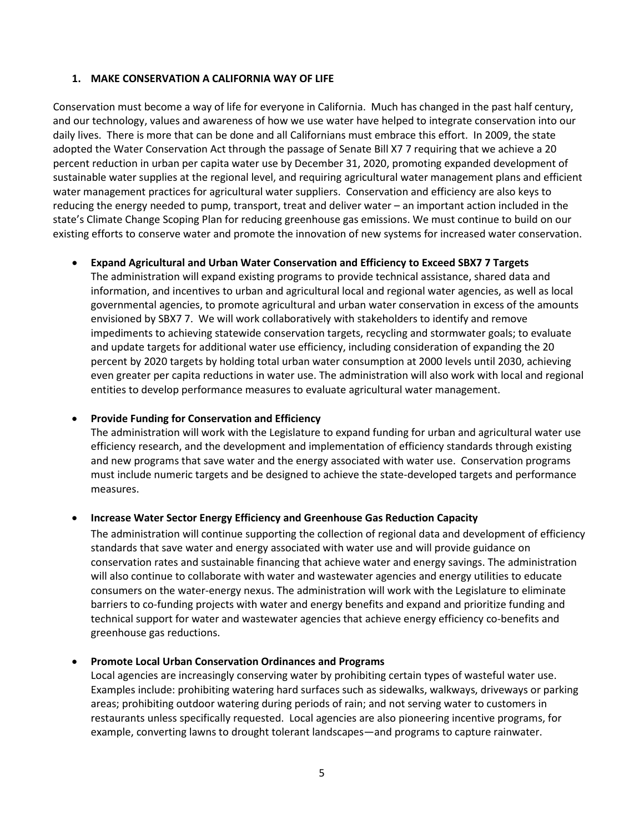#### <span id="page-8-0"></span>**1. MAKE CONSERVATION A CALIFORNIA WAY OF LIFE**

 Conservation must become a way of life for everyone in California. Much has changed in the past half century, and our technology, values and awareness of how we use water have helped to integrate conservation into our daily lives. There is more that can be done and all Californians must embrace this effort. In 2009, the state adopted the Water Conservation Act through the passage of Senate Bill X7 7 requiring that we achieve a 20 percent reduction in urban per capita water use by December 31, 2020, promoting expanded development of water management practices for agricultural water suppliers. Conservation and efficiency are also keys to reducing the energy needed to pump, transport, treat and deliver water – an important action included in the state's Climate Change Scoping Plan for reducing greenhouse gas emissions. We must continue to build on our sustainable water supplies at the regional level, and requiring agricultural water management plans and efficient existing efforts to conserve water and promote the innovation of new systems for increased water conservation.

#### • **Expand Agricultural and Urban Water Conservation and Efficiency to Exceed SBX7 7 Targets**

 governmental agencies, to promote agricultural and urban water conservation in excess of the amounts envisioned by SBX7 7. We will work collaboratively with stakeholders to identify and remove impediments to achieving statewide conservation targets, recycling and stormwater goals; to evaluate percent by 2020 targets by holding total urban water consumption at 2000 levels until 2030, achieving entities to develop performance measures to evaluate agricultural water management. The administration will expand existing programs to provide technical assistance, shared data and information, and incentives to urban and agricultural local and regional water agencies, as well as local and update targets for additional water use efficiency, including consideration of expanding the 20 even greater per capita reductions in water use. The administration will also work with local and regional

#### • **Provide Funding for Conservation and Efficiency**

 The administration will work with the Legislature to expand funding for urban and agricultural water use efficiency research, and the development and implementation of efficiency standards through existing and new programs that save water and the energy associated with water use. Conservation programs must include numeric targets and be designed to achieve the state-developed targets and performance measures.

#### • **Increase Water Sector Energy Efficiency and Greenhouse Gas Reduction Capacity**

 The administration will continue supporting the collection of regional data and development of efficiency consumers on the water-energy nexus. The administration will work with the Legislature to eliminate barriers to co-funding projects with water and energy benefits and expand and prioritize funding and technical support for water and wastewater agencies that achieve energy efficiency co-benefits and greenhouse gas reductions. standards that save water and energy associated with water use and will provide guidance on conservation rates and sustainable financing that achieve water and energy savings. The administration will also continue to collaborate with water and wastewater agencies and energy utilities to educate

#### • **Promote Local Urban Conservation Ordinances and Programs**

 Local agencies are increasingly conserving water by prohibiting certain types of wasteful water use. areas; prohibiting outdoor watering during periods of rain; and not serving water to customers in restaurants unless specifically requested. Local agencies are also pioneering incentive programs, for Examples include: prohibiting watering hard surfaces such as sidewalks, walkways, driveways or parking example, converting lawns to drought tolerant landscapes—and programs to capture rainwater.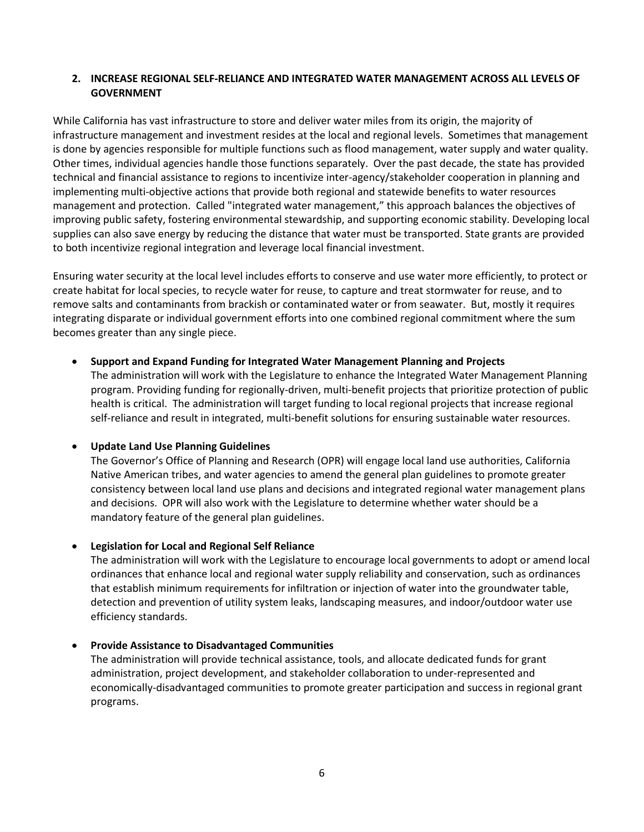#### <span id="page-9-0"></span>**2. INCREASE REGIONAL SELF-RELIANCE AND INTEGRATED WATER MANAGEMENT ACROSS ALL LEVELS OF GOVERNMENT**

 While California has vast infrastructure to store and deliver water miles from its origin, the majority of is done by agencies responsible for multiple functions such as flood management, water supply and water quality. is done by agencies responsible for multiple functions such as flood management, water supply and water quality.<br>Other times, individual agencies handle those functions separately. Over the past decade, the state has provi technical and financial assistance to regions to incentivize inter-agency/stakeholder cooperation in planning and management and protection. Called "integrated water management," this approach balances the objectives of improving public safety, fostering environmental stewardship, and supporting economic stability. Developing local to both incentivize regional integration and leverage local financial investment. infrastructure management and investment resides at the local and regional levels. Sometimes that management implementing multi-objective actions that provide both regional and statewide benefits to water resources supplies can also save energy by reducing the distance that water must be transported. State grants are provided

 Ensuring water security at the local level includes efforts to conserve and use water more efficiently, to protect or create habitat for local species, to recycle water for reuse, to capture and treat stormwater for reuse, and to remove salts and contaminants from brackish or contaminated water or from seawater. But, mostly it requires integrating disparate or individual government efforts into one combined regional commitment where the sum becomes greater than any single piece.

#### • **Support and Expand Funding for Integrated Water Management Planning and Projects**

 The administration will work with the Legislature to enhance the Integrated Water Management Planning program. Providing funding for regionally-driven, multi-benefit projects that prioritize protection of public health is critical. The administration will target funding to local regional projects that increase regional self-reliance and result in integrated, multi-benefit solutions for ensuring sustainable water resources.

#### • **Update Land Use Planning Guidelines**

 and decisions. OPR will also work with the Legislature to determine whether water should be a The Governor's Office of Planning and Research (OPR) will engage local land use authorities, California Native American tribes, and water agencies to amend the general plan guidelines to promote greater consistency between local land use plans and decisions and integrated regional water management plans mandatory feature of the general plan guidelines.

#### • **Legislation for Local and Regional Self Reliance**

 The administration will work with the Legislature to encourage local governments to adopt or amend local ordinances that enhance local and regional water supply reliability and conservation, such as ordinances that establish minimum requirements for infiltration or injection of water into the groundwater table, detection and prevention of utility system leaks, landscaping measures, and indoor/outdoor water use efficiency standards.

#### • **Provide Assistance to Disadvantaged Communities**

 economically-disadvantaged communities to promote greater participation and success in regional grant programs. The administration will provide technical assistance, tools, and allocate dedicated funds for grant administration, project development, and stakeholder collaboration to under-represented and programs.<br>
6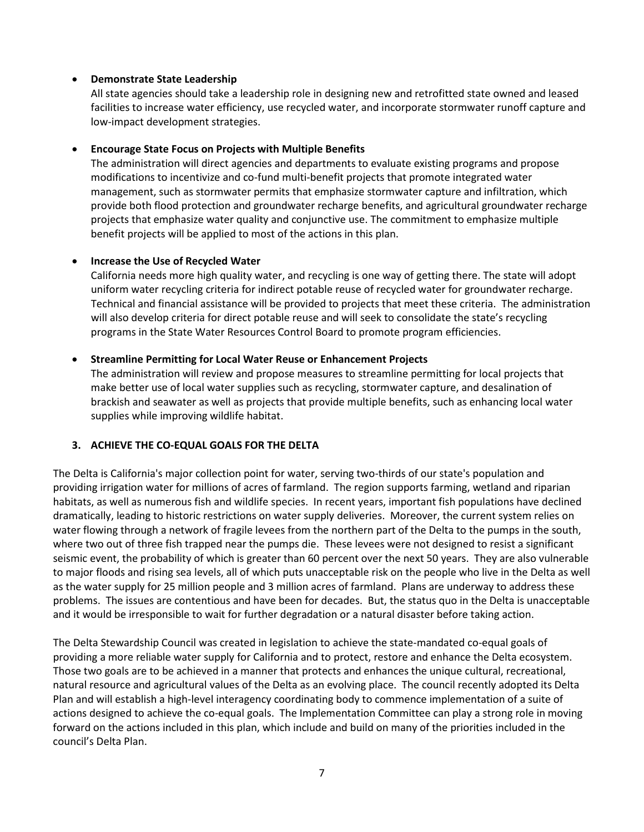#### <span id="page-10-0"></span>• **Demonstrate State Leadership**

All state agencies should take a leadership role in designing new and retrofitted state owned and leased facilities to increase water efficiency, use recycled water, and incorporate stormwater runoff capture and low-impact development strategies.

#### • **Encourage State Focus on Projects with Multiple Benefits**

 management, such as stormwater permits that emphasize stormwater capture and infiltration, which The administration will direct agencies and departments to evaluate existing programs and propose modifications to incentivize and co-fund multi-benefit projects that promote integrated water provide both flood protection and groundwater recharge benefits, and agricultural groundwater recharge projects that emphasize water quality and conjunctive use. The commitment to emphasize multiple benefit projects will be applied to most of the actions in this plan.

#### • **Increase the Use of Recycled Water**

 California needs more high quality water, and recycling is one way of getting there. The state will adopt Technical and financial assistance will be provided to projects that meet these criteria. The administration will also develop criteria for direct potable reuse and will seek to consolidate the state's recycling uniform water recycling criteria for indirect potable reuse of recycled water for groundwater recharge. programs in the State Water Resources Control Board to promote program efficiencies.

#### • **Streamline Permitting for Local Water Reuse or Enhancement Projects**

The administration will review and propose measures to streamline permitting for local projects that make better use of local water supplies such as recycling, stormwater capture, and desalination of brackish and seawater as well as projects that provide multiple benefits, such as enhancing local water supplies while improving wildlife habitat.

#### **3. ACHIEVE THE CO-EQUAL GOALS FOR THE DELTA**

 dramatically, leading to historic restrictions on water supply deliveries. Moreover, the current system relies on water flowing through a network of fragile levees from the northern part of the Delta to the pumps in the south, where two out of three fish trapped near the pumps die. These levees were not designed to resist a significant seismic event, the probability of which is greater than 60 percent over the next 50 years. They are also vulnerable as the water supply for 25 million people and 3 million acres of farmland. Plans are underway to address these The Delta is California's major collection point for water, serving two-thirds of our state's population and providing irrigation water for millions of acres of farmland. The region supports farming, wetland and riparian habitats, as well as numerous fish and wildlife species. In recent years, important fish populations have declined to major floods and rising sea levels, all of which puts unacceptable risk on the people who live in the Delta as well problems. The issues are contentious and have been for decades. But, the status quo in the Delta is unacceptable and it would be irresponsible to wait for further degradation or a natural disaster before taking action.

providing a more reliable water supply for California and to protect, restore and enhance the Delta ecosystem. natural resource and agricultural values of the Delta as an evolving place. The council recently adopted its Delta forward on the actions included in this plan, which include and build on many of the priorities included in the council's Delta Plan. The Delta Stewardship Council was created in legislation to achieve the state-mandated co-equal goals of Those two goals are to be achieved in a manner that protects and enhances the unique cultural, recreational, Plan and will establish a high-level interagency coordinating body to commence implementation of a suite of actions designed to achieve the co-equal goals. The Implementation Committee can play a strong role in moving council's Delta Plan.<br>7<br>7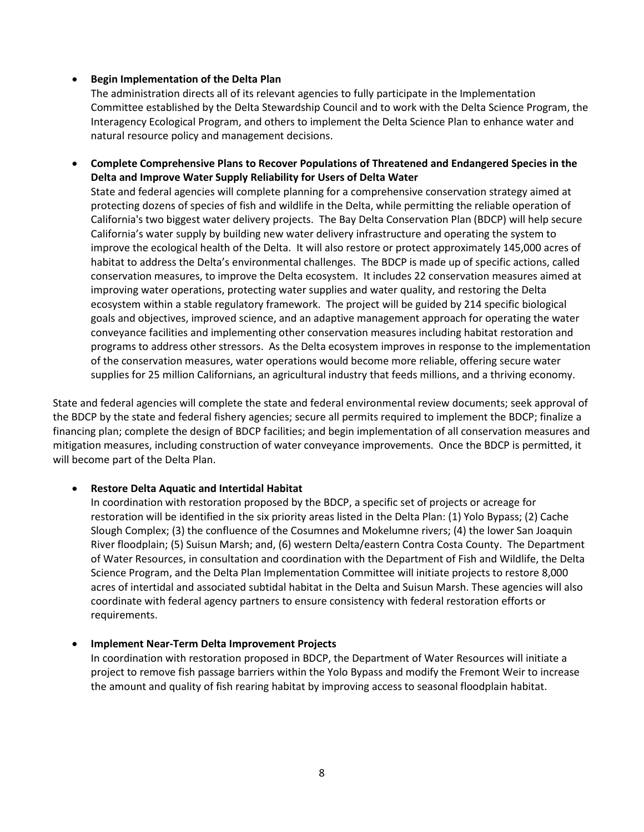#### • **Begin Implementation of the Delta Plan**

The administration directs all of its relevant agencies to fully participate in the Implementation Committee established by the Delta Stewardship Council and to work with the Delta Science Program, the Interagency Ecological Program, and others to implement the Delta Science Plan to enhance water and natural resource policy and management decisions.

 • **Complete Comprehensive Plans to Recover Populations of Threatened and Endangered Species in the Delta and Improve Water Supply Reliability for Users of Delta Water** 

 protecting dozens of species of fish and wildlife in the Delta, while permitting the reliable operation of California's two biggest water delivery projects. The Bay Delta Conservation Plan (BDCP) will help secure habitat to address the Delta's environmental challenges. The BDCP is made up of specific actions, called conservation measures, to improve the Delta ecosystem. It includes 22 conservation measures aimed at ecosystem within a stable regulatory framework. The project will be guided by 214 specific biological goals and objectives, improved science, and an adaptive management approach for operating the water programs to address other stressors. As the Delta ecosystem improves in response to the implementation State and federal agencies will complete planning for a comprehensive conservation strategy aimed at California's water supply by building new water delivery infrastructure and operating the system to improve the ecological health of the Delta. It will also restore or protect approximately 145,000 acres of improving water operations, protecting water supplies and water quality, and restoring the Delta conveyance facilities and implementing other conservation measures including habitat restoration and of the conservation measures, water operations would become more reliable, offering secure water supplies for 25 million Californians, an agricultural industry that feeds millions, and a thriving economy.

 State and federal agencies will complete the state and federal environmental review documents; seek approval of mitigation measures, including construction of water conveyance improvements. Once the BDCP is permitted, it the BDCP by the state and federal fishery agencies; secure all permits required to implement the BDCP; finalize a financing plan; complete the design of BDCP facilities; and begin implementation of all conservation measures and will become part of the Delta Plan.

#### • **Restore Delta Aquatic and Intertidal Habitat**

 restoration will be identified in the six priority areas listed in the Delta Plan: (1) Yolo Bypass; (2) Cache River floodplain; (5) Suisun Marsh; and, (6) western Delta/eastern Contra Costa County. The Department acres of intertidal and associated subtidal habitat in the Delta and Suisun Marsh. These agencies will also In coordination with restoration proposed by the BDCP, a specific set of projects or acreage for Slough Complex; (3) the confluence of the Cosumnes and Mokelumne rivers; (4) the lower San Joaquin of Water Resources, in consultation and coordination with the Department of Fish and Wildlife, the Delta Science Program, and the Delta Plan Implementation Committee will initiate projects to restore 8,000 coordinate with federal agency partners to ensure consistency with federal restoration efforts or requirements.

#### • **Implement Near-Term Delta Improvement Projects**

 the amount and quality of fish rearing habitat by improving access to seasonal floodplain habitat. In coordination with restoration proposed in BDCP, the Department of Water Resources will initiate a project to remove fish passage barriers within the Yolo Bypass and modify the Fremont Weir to increase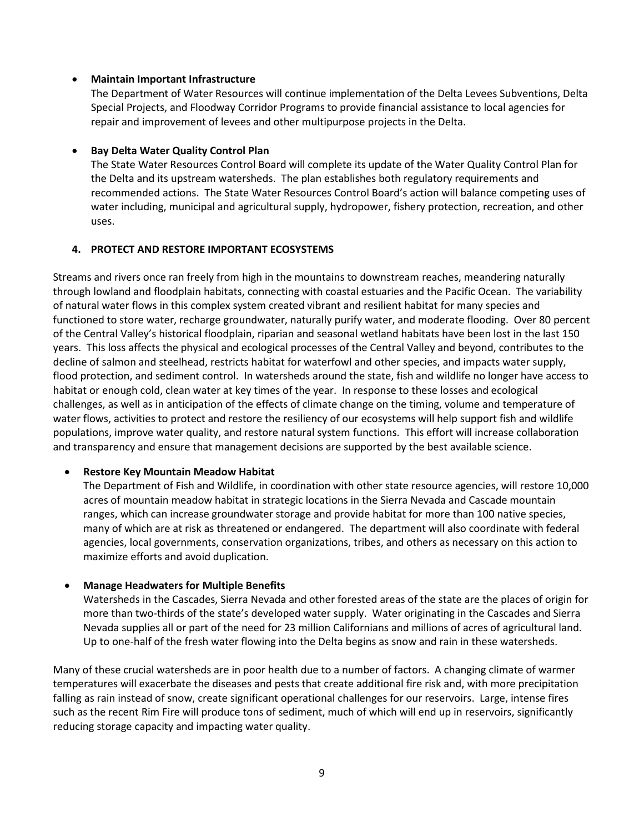#### <span id="page-12-0"></span>• **Maintain Important Infrastructure**

 The Department of Water Resources will continue implementation of the Delta Levees Subventions, Delta Special Projects, and Floodway Corridor Programs to provide financial assistance to local agencies for repair and improvement of levees and other multipurpose projects in the Delta.

#### • **Bay Delta Water Quality Control Plan**

 water including, municipal and agricultural supply, hydropower, fishery protection, recreation, and other uses. The State Water Resources Control Board will complete its update of the Water Quality Control Plan for the Delta and its upstream watersheds. The plan establishes both regulatory requirements and recommended actions. The State Water Resources Control Board's action will balance competing uses of

#### **4. PROTECT AND RESTORE IMPORTANT ECOSYSTEMS**

 Streams and rivers once ran freely from high in the mountains to downstream reaches, meandering naturally through lowland and floodplain habitats, connecting with coastal estuaries and the Pacific Ocean. The variability of natural water flows in this complex system created vibrant and resilient habitat for many species and functioned to store water, recharge groundwater, naturally purify water, and moderate flooding. Over 80 percent of the Central Valley's historical floodplain, riparian and seasonal wetland habitats have been lost in the last 150 years. This loss affects the physical and ecological processes of the Central Valley and beyond, contributes to the decline of salmon and steelhead, restricts habitat for waterfowl and other species, and impacts water supply, flood protection, and sediment control. In watersheds around the state, fish and wildlife no longer have access to habitat or enough cold, clean water at key times of the year. In response to these losses and ecological challenges, as well as in anticipation of the effects of climate change on the timing, volume and temperature of water flows, activities to protect and restore the resiliency of our ecosystems will help support fish and wildlife populations, improve water quality, and restore natural system functions. This effort will increase collaboration and transparency and ensure that management decisions are supported by the best available science.

#### • **Restore Key Mountain Meadow Habitat**

 acres of mountain meadow habitat in strategic locations in the Sierra Nevada and Cascade mountain many of which are at risk as threatened or endangered. The department will also coordinate with federal agencies, local governments, conservation organizations, tribes, and others as necessary on this action to The Department of Fish and Wildlife, in coordination with other state resource agencies, will restore 10,000 ranges, which can increase groundwater storage and provide habitat for more than 100 native species, maximize efforts and avoid duplication.

#### • **Manage Headwaters for Multiple Benefits**

 Watersheds in the Cascades, Sierra Nevada and other forested areas of the state are the places of origin for Nevada supplies all or part of the need for 23 million Californians and millions of acres of agricultural land. more than two-thirds of the state's developed water supply. Water originating in the Cascades and Sierra Up to one-half of the fresh water flowing into the Delta begins as snow and rain in these watersheds.

 Many of these crucial watersheds are in poor health due to a number of factors. A changing climate of warmer such as the recent Rim Fire will produce tons of sediment, much of which will end up in reservoirs, significantly temperatures will exacerbate the diseases and pests that create additional fire risk and, with more precipitation falling as rain instead of snow, create significant operational challenges for our reservoirs. Large, intense fires reducing storage capacity and impacting water quality.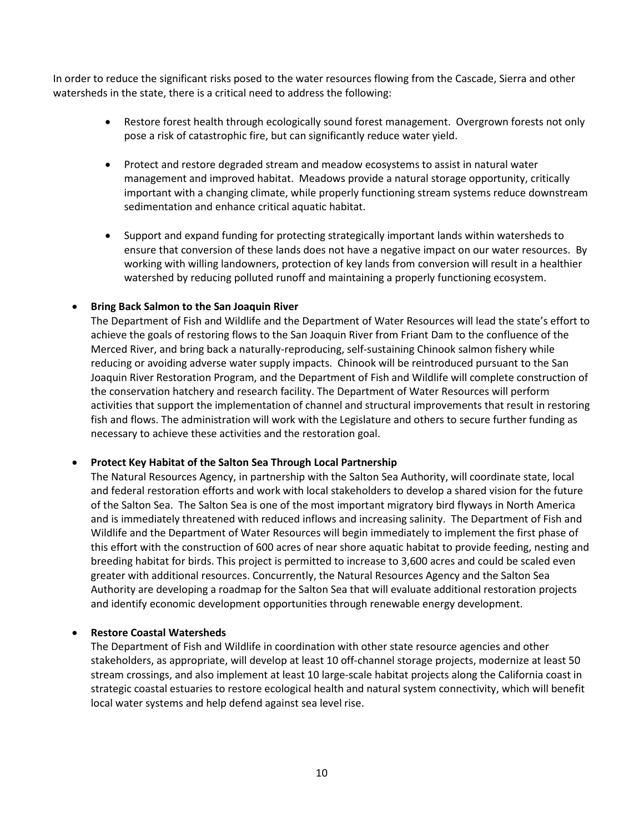In order to reduce the significant risks posed to the water resources flowing from the Cascade, Sierra and other watersheds in the state, there is a critical need to address the following:

- • Restore forest health through ecologically sound forest management. Overgrown forests not only pose a risk of catastrophic fire, but can significantly reduce water yield.
- management and improved habitat. Meadows provide a natural storage opportunity, critically • Protect and restore degraded stream and meadow ecosystems to assist in natural water important with a changing climate, while properly functioning stream systems reduce downstream sedimentation and enhance critical aquatic habitat.
- • Support and expand funding for protecting strategically important lands within watersheds to ensure that conversion of these lands does not have a negative impact on our water resources. By working with willing landowners, protection of key lands from conversion will result in a healthier watershed by reducing polluted runoff and maintaining a properly functioning ecosystem.

#### • **Bring Back Salmon to the San Joaquin River**

 achieve the goals of restoring flows to the San Joaquin River from Friant Dam to the confluence of the reducing or avoiding adverse water supply impacts. Chinook will be reintroduced pursuant to the San the conservation hatchery and research facility. The Department of Water Resources will perform fish and flows. The administration will work with the Legislature and others to secure further funding as The Department of Fish and Wildlife and the Department of Water Resources will lead the state's effort to Merced River, and bring back a naturally-reproducing, self-sustaining Chinook salmon fishery while Joaquin River Restoration Program, and the Department of Fish and Wildlife will complete construction of activities that support the implementation of channel and structural improvements that result in restoring necessary to achieve these activities and the restoration goal.

#### • **Protect Key Habitat of the Salton Sea Through Local Partnership**

 and federal restoration efforts and work with local stakeholders to develop a shared vision for the future of the Salton Sea. The Salton Sea is one of the most important migratory bird flyways in North America and is immediately threatened with reduced inflows and increasing salinity. The Department of Fish and this effort with the construction of 600 acres of near shore aquatic habitat to provide feeding, nesting and breeding habitat for birds. This project is permitted to increase to 3,600 acres and could be scaled even The Natural Resources Agency, in partnership with the Salton Sea Authority, will coordinate state, local Wildlife and the Department of Water Resources will begin immediately to implement the first phase of greater with additional resources. Concurrently, the Natural Resources Agency and the Salton Sea Authority are developing a roadmap for the Salton Sea that will evaluate additional restoration projects and identify economic development opportunities through renewable energy development.

#### • **Restore Coastal Watersheds**

 The Department of Fish and Wildlife in coordination with other state resource agencies and other stakeholders, as appropriate, will develop at least 10 off-channel storage projects, modernize at least 50 stream crossings, and also implement at least 10 large-scale habitat projects along the California coast in strategic coastal estuaries to restore ecological health and natural system connectivity, which will benefit local water systems and help defend against sea level rise.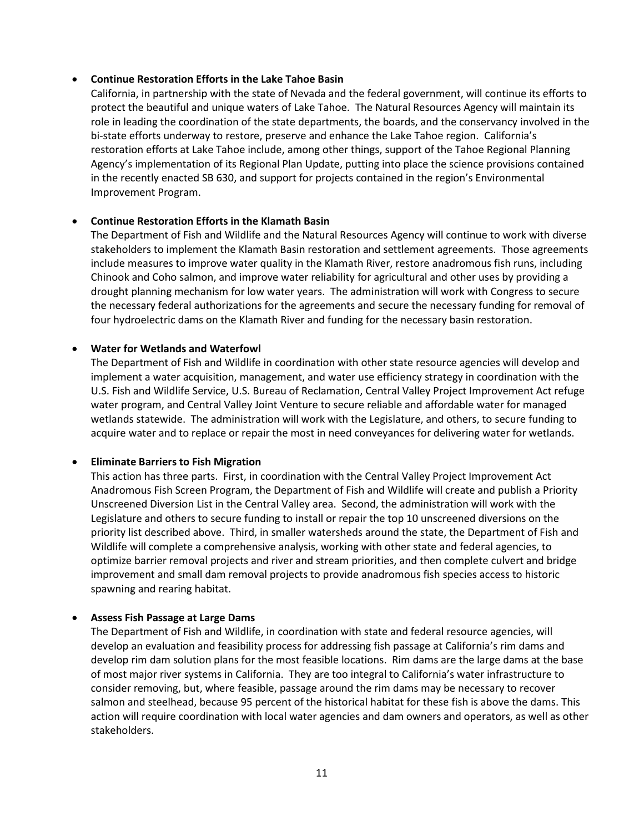#### • **Continue Restoration Efforts in the Lake Tahoe Basin**

 California, in partnership with the state of Nevada and the federal government, will continue its efforts to protect the beautiful and unique waters of Lake Tahoe. The Natural Resources Agency will maintain its bi-state efforts underway to restore, preserve and enhance the Lake Tahoe region. California's restoration efforts at Lake Tahoe include, among other things, support of the Tahoe Regional Planning role in leading the coordination of the state departments, the boards, and the conservancy involved in the Agency's implementation of its Regional Plan Update, putting into place the science provisions contained in the recently enacted SB 630, and support for projects contained in the region's Environmental Improvement Program.

#### • **Continue Restoration Efforts in the Klamath Basin**

 The Department of Fish and Wildlife and the Natural Resources Agency will continue to work with diverse stakeholders to implement the Klamath Basin restoration and settlement agreements. Those agreements include measures to improve water quality in the Klamath River, restore anadromous fish runs, including Chinook and Coho salmon, and improve water reliability for agricultural and other uses by providing a drought planning mechanism for low water years. The administration will work with Congress to secure the necessary federal authorizations for the agreements and secure the necessary funding for removal of four hydroelectric dams on the Klamath River and funding for the necessary basin restoration.

#### • **Water for Wetlands and Waterfowl**

 implement a water acquisition, management, and water use efficiency strategy in coordination with the U.S. Fish and Wildlife Service, U.S. Bureau of Reclamation, Central Valley Project Improvement Act refuge water program, and Central Valley Joint Venture to secure reliable and affordable water for managed acquire water and to replace or repair the most in need conveyances for delivering water for wetlands. The Department of Fish and Wildlife in coordination with other state resource agencies will develop and wetlands statewide. The administration will work with the Legislature, and others, to secure funding to

#### • **Eliminate Barriers to Fish Migration**

 Unscreened Diversion List in the Central Valley area. Second, the administration will work with the Legislature and others to secure funding to install or repair the top 10 unscreened diversions on the This action has three parts. First, in coordination with the Central Valley Project Improvement Act Anadromous Fish Screen Program, the Department of Fish and Wildlife will create and publish a Priority priority list described above. Third, in smaller watersheds around the state, the Department of Fish and Wildlife will complete a comprehensive analysis, working with other state and federal agencies, to optimize barrier removal projects and river and stream priorities, and then complete culvert and bridge improvement and small dam removal projects to provide anadromous fish species access to historic spawning and rearing habitat.

#### • **Assess Fish Passage at Large Dams**

 develop rim dam solution plans for the most feasible locations. Rim dams are the large dams at the base of most major river systems in California. They are too integral to California's water infrastructure to salmon and steelhead, because 95 percent of the historical habitat for these fish is above the dams. This action will require coordination with local water agencies and dam owners and operators, as well as other The Department of Fish and Wildlife, in coordination with state and federal resource agencies, will develop an evaluation and feasibility process for addressing fish passage at California's rim dams and consider removing, but, where feasible, passage around the rim dams may be necessary to recover stakeholders.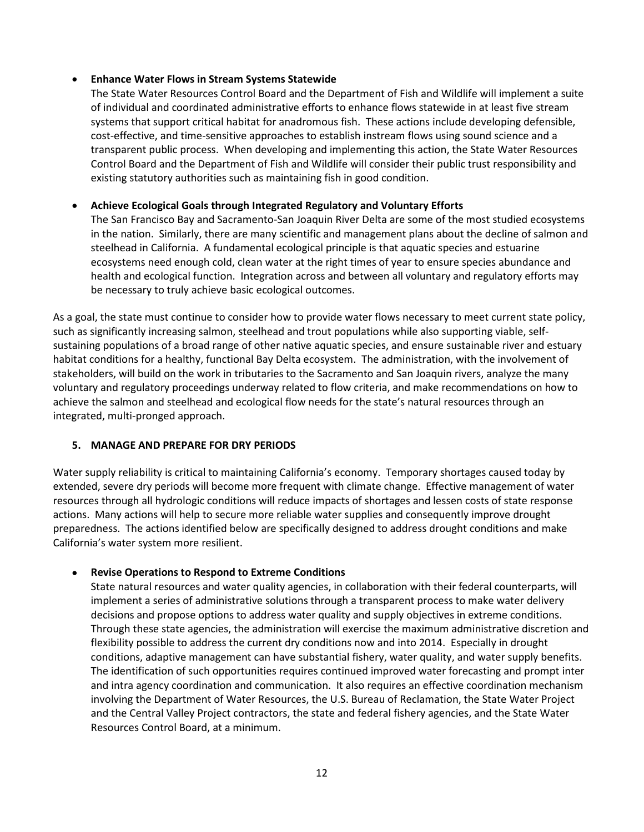#### <span id="page-15-0"></span>• **Enhance Water Flows in Stream Systems Statewide**

 The State Water Resources Control Board and the Department of Fish and Wildlife will implement a suite systems that support critical habitat for anadromous fish. These actions include developing defensible, transparent public process. When developing and implementing this action, the State Water Resources Control Board and the Department of Fish and Wildlife will consider their public trust responsibility and existing statutory authorities such as maintaining fish in good condition. of individual and coordinated administrative efforts to enhance flows statewide in at least five stream cost-effective, and time-sensitive approaches to establish instream flows using sound science and a

#### • **Achieve Ecological Goals through Integrated Regulatory and Voluntary Efforts**

 in the nation. Similarly, there are many scientific and management plans about the decline of salmon and ecosystems need enough cold, clean water at the right times of year to ensure species abundance and health and ecological function. Integration across and between all voluntary and regulatory efforts may The San Francisco Bay and Sacramento-San Joaquin River Delta are some of the most studied ecosystems steelhead in California. A fundamental ecological principle is that aquatic species and estuarine be necessary to truly achieve basic ecological outcomes.

 habitat conditions for a healthy, functional Bay Delta ecosystem. The administration, with the involvement of stakeholders, will build on the work in tributaries to the Sacramento and San Joaquin rivers, analyze the many voluntary and regulatory proceedings underway related to flow criteria, and make recommendations on how to achieve the salmon and steelhead and ecological flow needs for the state's natural resources through an As a goal, the state must continue to consider how to provide water flows necessary to meet current state policy, such as significantly increasing salmon, steelhead and trout populations while also supporting viable, selfsustaining populations of a broad range of other native aquatic species, and ensure sustainable river and estuary integrated, multi-pronged approach.

#### **5. MANAGE AND PREPARE FOR DRY PERIODS**

 Water supply reliability is critical to maintaining California's economy. Temporary shortages caused today by resources through all hydrologic conditions will reduce impacts of shortages and lessen costs of state response preparedness. The actions identified below are specifically designed to address drought conditions and make California's water system more resilient. extended, severe dry periods will become more frequent with climate change. Effective management of water actions. Many actions will help to secure more reliable water supplies and consequently improve drought

#### • **Revise Operations to Respond to Extreme Conditions**

 implement a series of administrative solutions through a transparent process to make water delivery decisions and propose options to address water quality and supply objectives in extreme conditions. conditions, adaptive management can have substantial fishery, water quality, and water supply benefits.<br>The identification of such opportunities requires continued improved water forecasting and prompt inter The identification of such opportunities requires continued improved water forecasting and prompt inter and intra agency coordination and communication. It also requires an effective coordination mechanism involving the Department of Water Resources, the U.S. Bureau of Reclamation, the State Water Project Resources Control Board, at a minimum.<br>12 State natural resources and water quality agencies, in collaboration with their federal counterparts, will Through these state agencies, the administration will exercise the maximum administrative discretion and flexibility possible to address the current dry conditions now and into 2014. Especially in drought and the Central Valley Project contractors, the state and federal fishery agencies, and the State Water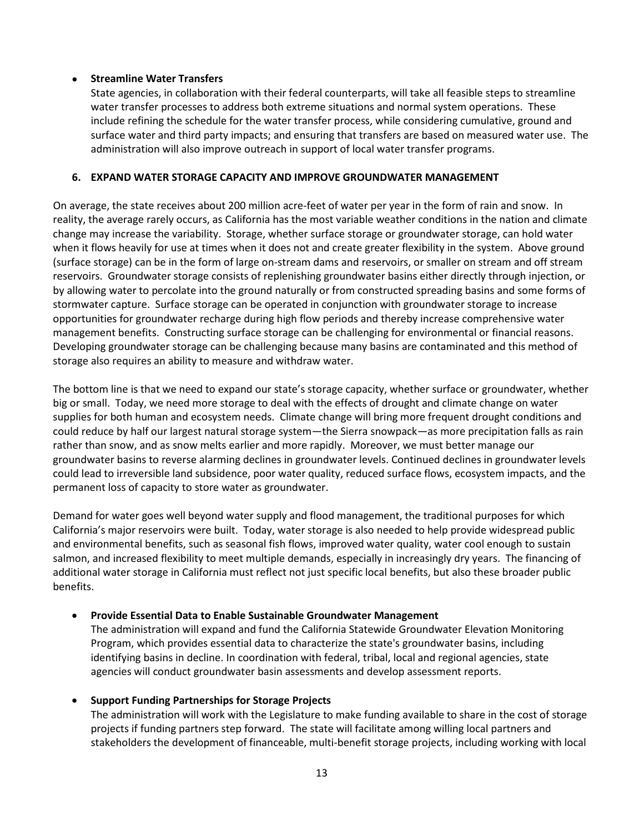#### <span id="page-16-0"></span>• **Streamline Water Transfers**

 water transfer processes to address both extreme situations and normal system operations. These surface water and third party impacts; and ensuring that transfers are based on measured water use. The State agencies, in collaboration with their federal counterparts, will take all feasible steps to streamline include refining the schedule for the water transfer process, while considering cumulative, ground and administration will also improve outreach in support of local water transfer programs.

#### **6. EXPAND WATER STORAGE CAPACITY AND IMPROVE GROUNDWATER MANAGEMENT**

 On average, the state receives about 200 million acre-feet of water per year in the form of rain and snow. In change may increase the variability. Storage, whether surface storage or groundwater storage, can hold water when it flows heavily for use at times when it does not and create greater flexibility in the system. Above ground (surface storage) can be in the form of large on-stream dams and reservoirs, or smaller on stream and off stream reservoirs. Groundwater storage consists of replenishing groundwater basins either directly through injection, or by allowing water to percolate into the ground naturally or from constructed spreading basins and some forms of management benefits. Constructing surface storage can be challenging for environmental or financial reasons. Developing groundwater storage can be challenging because many basins are contaminated and this method of storage also requires an ability to measure and withdraw water. reality, the average rarely occurs, as California has the most variable weather conditions in the nation and climate stormwater capture. Surface storage can be operated in conjunction with groundwater storage to increase opportunities for groundwater recharge during high flow periods and thereby increase comprehensive water

 The bottom line is that we need to expand our state's storage capacity, whether surface or groundwater, whether big or small. Today, we need more storage to deal with the effects of drought and climate change on water could reduce by half our largest natural storage system—the Sierra snowpack—as more precipitation falls as rain rather than snow, and as snow melts earlier and more rapidly. Moreover, we must better manage our could lead to irreversible land subsidence, poor water quality, reduced surface flows, ecosystem impacts, and the permanent loss of capacity to store water as groundwater. supplies for both human and ecosystem needs. Climate change will bring more frequent drought conditions and groundwater basins to reverse alarming declines in groundwater levels. Continued declines in groundwater levels

 Demand for water goes well beyond water supply and flood management, the traditional purposes for which California's major reservoirs were built. Today, water storage is also needed to help provide widespread public salmon, and increased flexibility to meet multiple demands, especially in increasingly dry years. The financing of additional water storage in California must reflect not just specific local benefits, but also these broader public and environmental benefits, such as seasonal fish flows, improved water quality, water cool enough to sustain benefits.

#### • **Provide Essential Data to Enable Sustainable Groundwater Management**

The administration will expand and fund the California Statewide Groundwater Elevation Monitoring Program, which provides essential data to characterize the state's groundwater basins, including identifying basins in decline. In coordination with federal, tribal, local and regional agencies, state agencies will conduct groundwater basin assessments and develop assessment reports.

#### • **Support Funding Partnerships for Storage Projects**

 The administration will work with the Legislature to make funding available to share in the cost of storage projects if funding partners step forward. The state will facilitate among willing local partners and stakeholders the development of financeable, multi-benefit storage projects, including working with local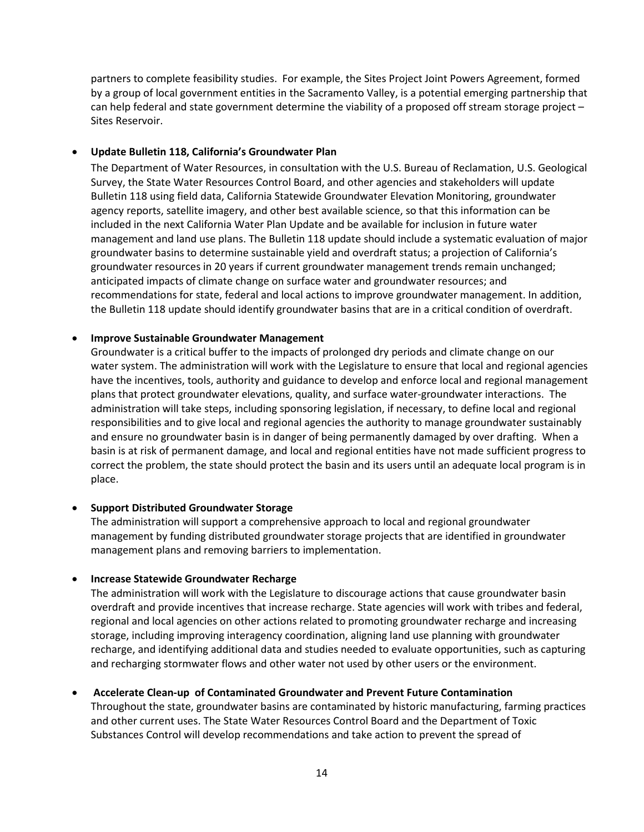Sites Reservoir. partners to complete feasibility studies. For example, the Sites Project Joint Powers Agreement, formed by a group of local government entities in the Sacramento Valley, is a potential emerging partnership that can help federal and state government determine the viability of a proposed off stream storage project –

#### • **Update Bulletin 118, California's Groundwater Plan**

 The Department of Water Resources, in consultation with the U.S. Bureau of Reclamation, U.S. Geological groundwater resources in 20 years if current groundwater management trends remain unchanged; Survey, the State Water Resources Control Board, and other agencies and stakeholders will update Bulletin 118 using field data, California Statewide Groundwater Elevation Monitoring, groundwater agency reports, satellite imagery, and other best available science, so that this information can be included in the next California Water Plan Update and be available for inclusion in future water management and land use plans. The Bulletin 118 update should include a systematic evaluation of major groundwater basins to determine sustainable yield and overdraft status; a projection of California's anticipated impacts of climate change on surface water and groundwater resources; and recommendations for state, federal and local actions to improve groundwater management. In addition, the Bulletin 118 update should identify groundwater basins that are in a critical condition of overdraft.

#### • **Improve Sustainable Groundwater Management**

 water system. The administration will work with the Legislature to ensure that local and regional agencies have the incentives, tools, authority and guidance to develop and enforce local and regional management plans that protect groundwater elevations, quality, and surface water-groundwater interactions. The administration will take steps, including sponsoring legislation, if necessary, to define local and regional and ensure no groundwater basin is in danger of being permanently damaged by over drafting. When a basin is at risk of permanent damage, and local and regional entities have not made sufficient progress to place. Groundwater is a critical buffer to the impacts of prolonged dry periods and climate change on our responsibilities and to give local and regional agencies the authority to manage groundwater sustainably correct the problem, the state should protect the basin and its users until an adequate local program is in

#### • **Support Distributed Groundwater Storage**

 management plans and removing barriers to implementation. The administration will support a comprehensive approach to local and regional groundwater management by funding distributed groundwater storage projects that are identified in groundwater

#### • **Increase Statewide Groundwater Recharge**

 The administration will work with the Legislature to discourage actions that cause groundwater basin recharge, and identifying additional data and studies needed to evaluate opportunities, such as capturing and recharging stormwater flows and other water not used by other users or the environment. overdraft and provide incentives that increase recharge. State agencies will work with tribes and federal, regional and local agencies on other actions related to promoting groundwater recharge and increasing storage, including improving interagency coordination, aligning land use planning with groundwater

#### • **Accelerate Clean-up of Contaminated Groundwater and Prevent Future Contamination**

 Substances Control will develop recommendations and take action to prevent the spread of Throughout the state, groundwater basins are contaminated by historic manufacturing, farming practices and other current uses. The State Water Resources Control Board and the Department of Toxic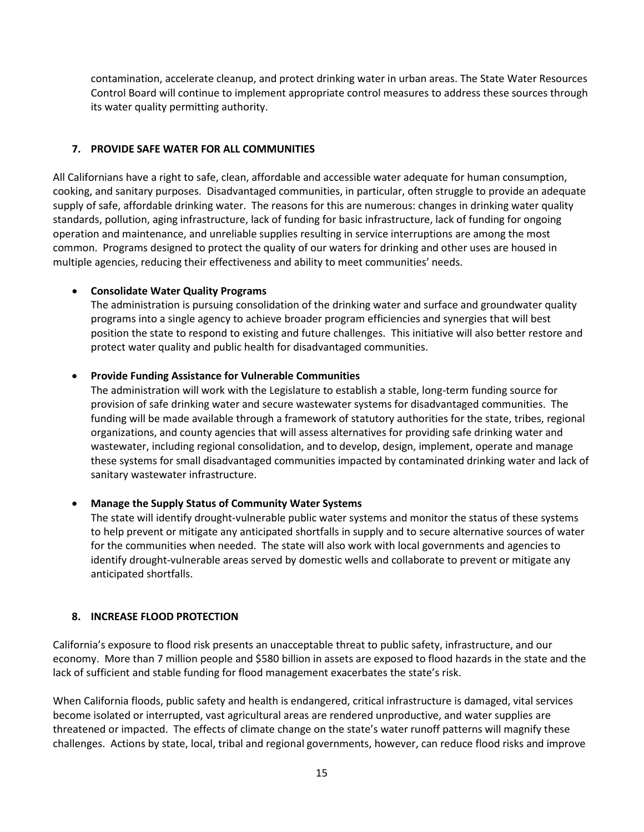<span id="page-18-0"></span> Control Board will continue to implement appropriate control measures to address these sources through contamination, accelerate cleanup, and protect drinking water in urban areas. The State Water Resources its water quality permitting authority.

#### **7. PROVIDE SAFE WATER FOR ALL COMMUNITIES**

 All Californians have a right to safe, clean, affordable and accessible water adequate for human consumption, cooking, and sanitary purposes. Disadvantaged communities, in particular, often struggle to provide an adequate standards, pollution, aging infrastructure, lack of funding for basic infrastructure, lack of funding for ongoing operation and maintenance, and unreliable supplies resulting in service interruptions are among the most common. Programs designed to protect the quality of our waters for drinking and other uses are housed in multiple agencies, reducing their effectiveness and ability to meet communities' needs. supply of safe, affordable drinking water. The reasons for this are numerous: changes in drinking water quality

#### • **Consolidate Water Quality Programs**

 The administration is pursuing consolidation of the drinking water and surface and groundwater quality programs into a single agency to achieve broader program efficiencies and synergies that will best position the state to respond to existing and future challenges. This initiative will also better restore and protect water quality and public health for disadvantaged communities.

#### • **Provide Funding Assistance for Vulnerable Communities**

 The administration will work with the Legislature to establish a stable, long-term funding source for provision of safe drinking water and secure wastewater systems for disadvantaged communities. The wastewater, including regional consolidation, and to develop, design, implement, operate and manage funding will be made available through a framework of statutory authorities for the state, tribes, regional organizations, and county agencies that will assess alternatives for providing safe drinking water and these systems for small disadvantaged communities impacted by contaminated drinking water and lack of sanitary wastewater infrastructure.

#### • **Manage the Supply Status of Community Water Systems**

 The state will identify drought-vulnerable public water systems and monitor the status of these systems for the communities when needed. The state will also work with local governments and agencies to to help prevent or mitigate any anticipated shortfalls in supply and to secure alternative sources of water identify drought-vulnerable areas served by domestic wells and collaborate to prevent or mitigate any anticipated shortfalls.

#### **8. INCREASE FLOOD PROTECTION**

 economy. More than 7 million people and \$580 billion in assets are exposed to flood hazards in the state and the lack of sufficient and stable funding for flood management exacerbates the state's risk. California's exposure to flood risk presents an unacceptable threat to public safety, infrastructure, and our

 become isolated or interrupted, vast agricultural areas are rendered unproductive, and water supplies are threatened or impacted. The effects of climate change on the state's water runoff patterns will magnify these When California floods, public safety and health is endangered, critical infrastructure is damaged, vital services challenges. Actions by state, local, tribal and regional governments, however, can reduce flood risks and improve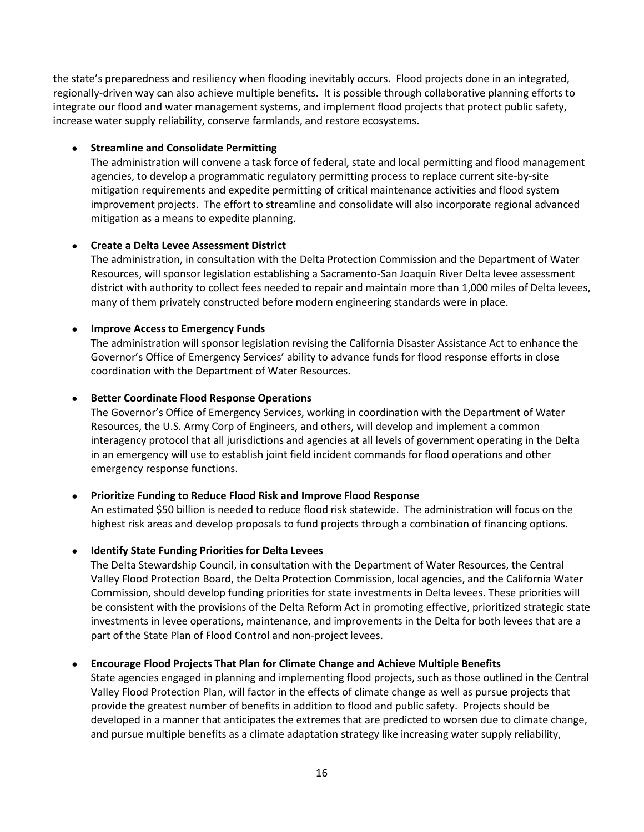the state's preparedness and resiliency when flooding inevitably occurs. Flood projects done in an integrated, regionally-driven way can also achieve multiple benefits. It is possible through collaborative planning efforts to increase water supply reliability, conserve farmlands, and restore ecosystems. integrate our flood and water management systems, and implement flood projects that protect public safety,

#### • **Streamline and Consolidate Permitting**

 The administration will convene a task force of federal, state and local permitting and flood management agencies, to develop a programmatic regulatory permitting process to replace current site-by-site mitigation as a means to expedite planning. mitigation requirements and expedite permitting of critical maintenance activities and flood system improvement projects. The effort to streamline and consolidate will also incorporate regional advanced

#### • **Create a Delta Levee Assessment District**

 Resources, will sponsor legislation establishing a Sacramento-San Joaquin River Delta levee assessment district with authority to collect fees needed to repair and maintain more than 1,000 miles of Delta levees, many of them privately constructed before modern engineering standards were in place. The administration, in consultation with the Delta Protection Commission and the Department of Water

#### • **Improve Access to Emergency Funds**

 Governor's Office of Emergency Services' ability to advance funds for flood response efforts in close coordination with the Department of Water Resources. The administration will sponsor legislation revising the California Disaster Assistance Act to enhance the

#### • **Better Coordinate Flood Response Operations**

 The Governor's Office of Emergency Services, working in coordination with the Department of Water Resources, the U.S. Army Corp of Engineers, and others, will develop and implement a common in an emergency will use to establish joint field incident commands for flood operations and other interagency protocol that all jurisdictions and agencies at all levels of government operating in the Delta emergency response functions.

#### • **Prioritize Funding to Reduce Flood Risk and Improve Flood Response**

 An estimated \$50 billion is needed to reduce flood risk statewide. The administration will focus on the highest risk areas and develop proposals to fund projects through a combination of financing options.

#### • **Identify State Funding Priorities for Delta Levees**

 part of the State Plan of Flood Control and non-project levees. The Delta Stewardship Council, in consultation with the Department of Water Resources, the Central Valley Flood Protection Board, the Delta Protection Commission, local agencies, and the California Water Commission, should develop funding priorities for state investments in Delta levees. These priorities will be consistent with the provisions of the Delta Reform Act in promoting effective, prioritized strategic state investments in levee operations, maintenance, and improvements in the Delta for both levees that are a

#### • **Encourage Flood Projects That Plan for Climate Change and Achieve Multiple Benefits**

 State agencies engaged in planning and implementing flood projects, such as those outlined in the Central Valley Flood Protection Plan, will factor in the effects of climate change as well as pursue projects that provide the greatest number of benefits in addition to flood and public safety. Projects should be developed in a manner that anticipates the extremes that are predicted to worsen due to climate change, and pursue multiple benefits as a climate adaptation strategy like increasing water supply reliability,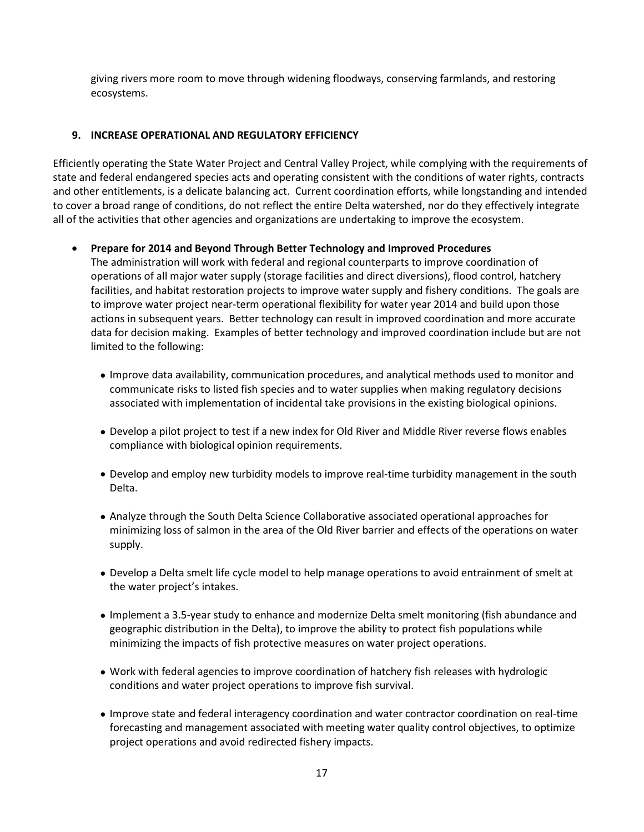<span id="page-20-0"></span> giving rivers more room to move through widening floodways, conserving farmlands, and restoring ecosystems.

#### **9. INCREASE OPERATIONAL AND REGULATORY EFFICIENCY**

 Efficiently operating the State Water Project and Central Valley Project, while complying with the requirements of state and federal endangered species acts and operating consistent with the conditions of water rights, contracts to cover a broad range of conditions, do not reflect the entire Delta watershed, nor do they effectively integrate all of the activities that other agencies and organizations are undertaking to improve the ecosystem. and other entitlements, is a delicate balancing act. Current coordination efforts, while longstanding and intended

• **Prepare for 2014 and Beyond Through Better Technology and Improved Procedures** 

 facilities, and habitat restoration projects to improve water supply and fishery conditions. The goals are actions in subsequent years. Better technology can result in improved coordination and more accurate data for decision making. Examples of better technology and improved coordination include but are not The administration will work with federal and regional counterparts to improve coordination of operations of all major water supply (storage facilities and direct diversions), flood control, hatchery to improve water project near-term operational flexibility for water year 2014 and build upon those limited to the following:

- Improve data availability, communication procedures, and analytical methods used to monitor and communicate risks to listed fish species and to water supplies when making regulatory decisions associated with implementation of incidental take provisions in the existing biological opinions.
- • Develop a pilot project to test if a new index for Old River and Middle River reverse flows enables compliance with biological opinion requirements.
- • Develop and employ new turbidity models to improve real-time turbidity management in the south Delta.
- minimizing loss of salmon in the area of the Old River barrier and effects of the operations on water supply. • Analyze through the South Delta Science Collaborative associated operational approaches for
- the water project's intakes. • Develop a Delta smelt life cycle model to help manage operations to avoid entrainment of smelt at
- geographic distribution in the Delta), to improve the ability to protect fish populations while minimizing the impacts of fish protective measures on water project operations. • Implement a 3.5-year study to enhance and modernize Delta smelt monitoring (fish abundance and
- Work with federal agencies to improve coordination of hatchery fish releases with hydrologic conditions and water project operations to improve fish survival.
- forecasting and management associated with meeting water quality control objectives, to optimize • Improve state and federal interagency coordination and water contractor coordination on real-time project operations and avoid redirected fishery impacts.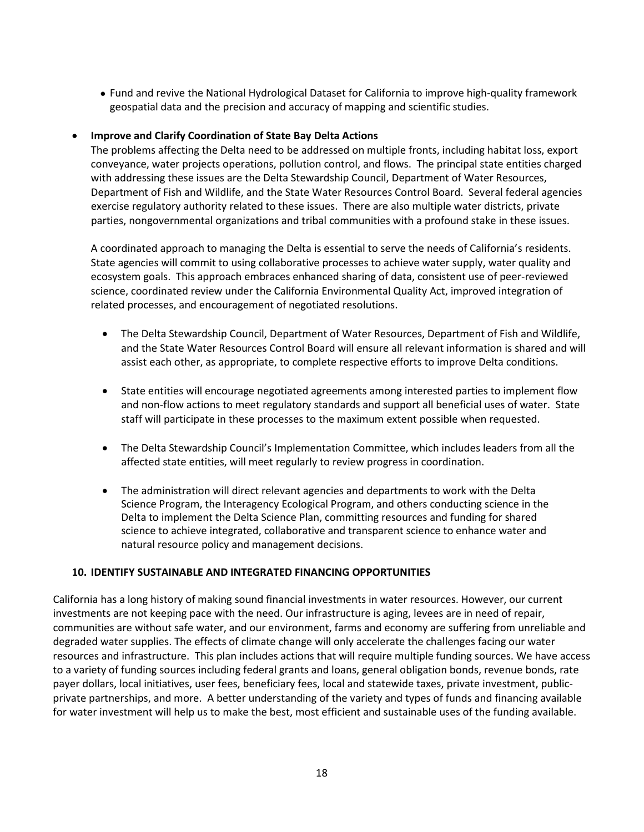<span id="page-21-0"></span>• Fund and revive the National Hydrological Dataset for California to improve high-quality framework geospatial data and the precision and accuracy of mapping and scientific studies.

#### • **Improve and Clarify Coordination of State Bay Delta Actions**

 with addressing these issues are the Delta Stewardship Council, Department of Water Resources, exercise regulatory authority related to these issues. There are also multiple water districts, private The problems affecting the Delta need to be addressed on multiple fronts, including habitat loss, export conveyance, water projects operations, pollution control, and flows. The principal state entities charged Department of Fish and Wildlife, and the State Water Resources Control Board. Several federal agencies parties, nongovernmental organizations and tribal communities with a profound stake in these issues.

 A coordinated approach to managing the Delta is essential to serve the needs of California's residents. State agencies will commit to using collaborative processes to achieve water supply, water quality and science, coordinated review under the California Environmental Quality Act, improved integration of ecosystem goals. This approach embraces enhanced sharing of data, consistent use of peer-reviewed related processes, and encouragement of negotiated resolutions.

- • The Delta Stewardship Council, Department of Water Resources, Department of Fish and Wildlife, assist each other, as appropriate, to complete respective efforts to improve Delta conditions. and the State Water Resources Control Board will ensure all relevant information is shared and will
- • State entities will encourage negotiated agreements among interested parties to implement flow and non-flow actions to meet regulatory standards and support all beneficial uses of water. State staff will participate in these processes to the maximum extent possible when requested.
- affected state entities, will meet regularly to review progress in coordination. • The Delta Stewardship Council's Implementation Committee, which includes leaders from all the
- Delta to implement the Delta Science Plan, committing resources and funding for shared science to achieve integrated, collaborative and transparent science to enhance water and • The administration will direct relevant agencies and departments to work with the Delta Science Program, the Interagency Ecological Program, and others conducting science in the natural resource policy and management decisions.

#### **10. IDENTIFY SUSTAINABLE AND INTEGRATED FINANCING OPPORTUNITIES**

 investments are not keeping pace with the need. Our infrastructure is aging, levees are in need of repair, resources and infrastructure. This plan includes actions that will require multiple funding sources. We have access private partnerships, and more. A better understanding of the variety and types of funds and financing available California has a long history of making sound financial investments in water resources. However, our current communities are without safe water, and our environment, farms and economy are suffering from unreliable and degraded water supplies. The effects of climate change will only accelerate the challenges facing our water to a variety of funding sources including federal grants and loans, general obligation bonds, revenue bonds, rate payer dollars, local initiatives, user fees, beneficiary fees, local and statewide taxes, private investment, publicfor water investment will help us to make the best, most efficient and sustainable uses of the funding available.